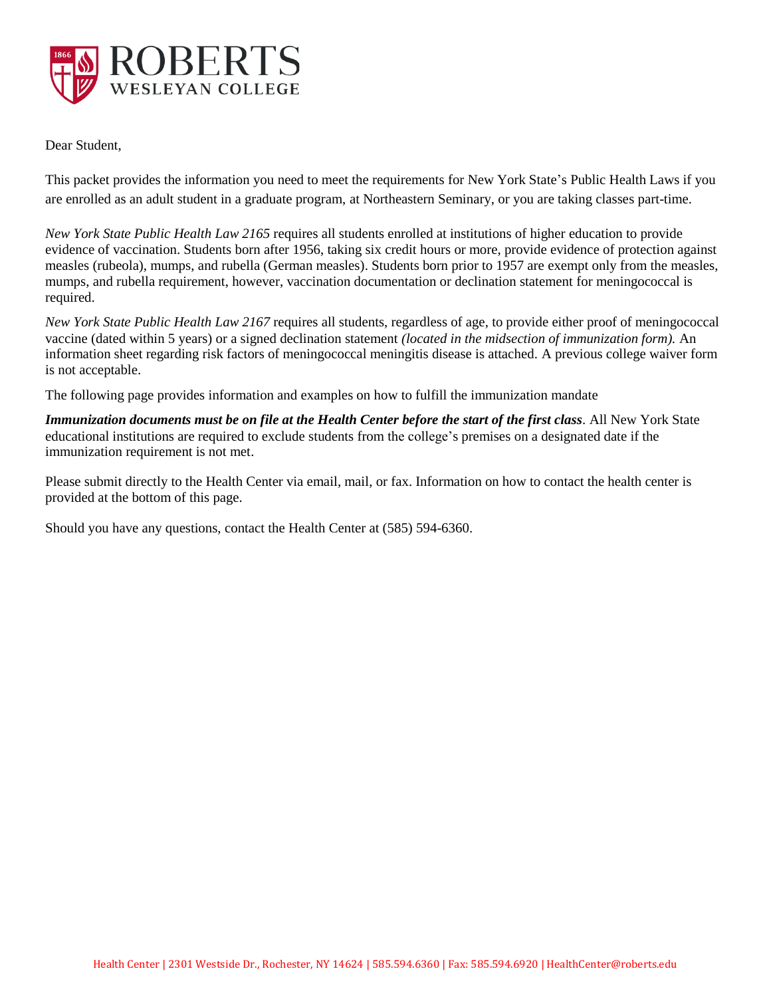

Dear Student,

This packet provides the information you need to meet the requirements for New York State's Public Health Laws if you are enrolled as an adult student in a graduate program, at Northeastern Seminary, or you are taking classes part-time.

*New York State Public Health Law 2165* requires all students enrolled at institutions of higher education to provide evidence of vaccination. Students born after 1956, taking six credit hours or more, provide evidence of protection against measles (rubeola), mumps, and rubella (German measles). Students born prior to 1957 are exempt only from the measles, mumps, and rubella requirement, however, vaccination documentation or declination statement for meningococcal is required.

*New York State Public Health Law 2167* requires all students, regardless of age, to provide either proof of meningococcal vaccine (dated within 5 years) or a signed declination statement *(located in the midsection of immunization form).* An information sheet regarding risk factors of meningococcal meningitis disease is attached. A previous college waiver form is not acceptable.

The following page provides information and examples on how to fulfill the immunization mandate

*Immunization documents must be on file at the Health Center before the start of the first class.* All New York State educational institutions are required to exclude students from the college's premises on a designated date if the immunization requirement is not met.

Please submit directly to the Health Center via email, mail, or fax. Information on how to contact the health center is provided at the bottom of this page.

Should you have any questions, contact the Health Center at (585) 594-6360.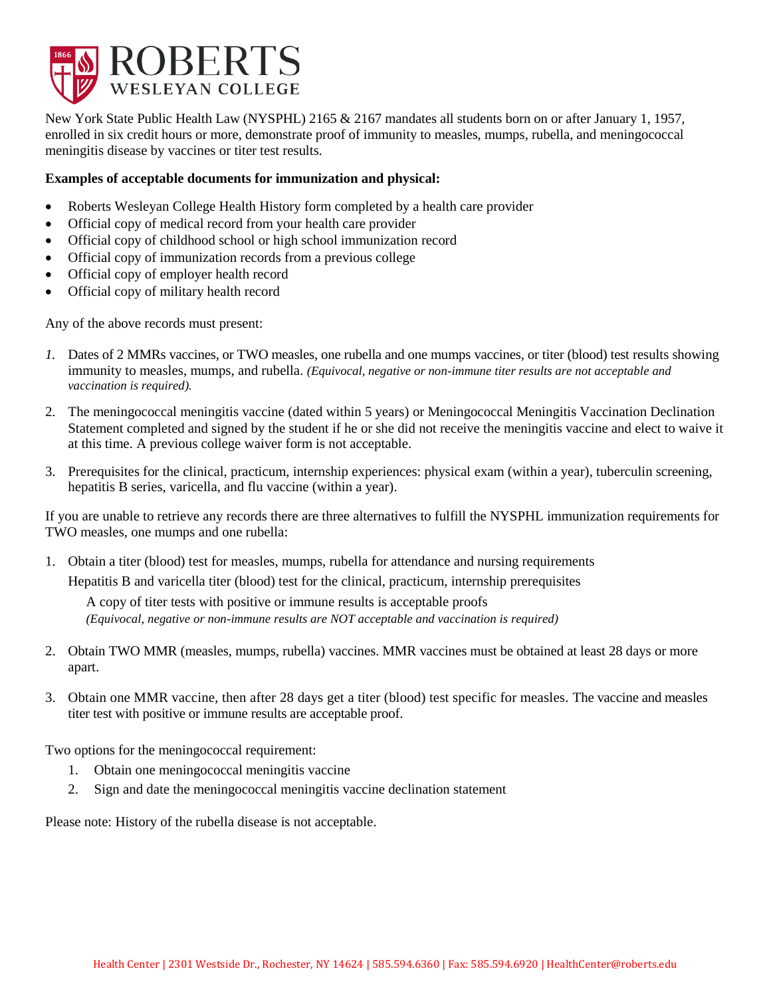

New York State Public Health Law (NYSPHL) 2165 & 2167 mandates all students born on or after January 1, 1957, enrolled in six credit hours or more, demonstrate proof of immunity to measles, mumps, rubella, and meningococcal meningitis disease by vaccines or titer test results.

## **Examples of acceptable documents for immunization and physical:**

- Roberts Wesleyan College Health History form completed by a health care provider
- Official copy of medical record from your health care provider
- Official copy of childhood school or high school immunization record
- Official copy of immunization records from a previous college
- Official copy of employer health record
- Official copy of military health record

Any of the above records must present:

- *1.* Dates of 2 MMRs vaccines, or TWO measles, one rubella and one mumps vaccines, or titer (blood) test results showing immunity to measles, mumps, and rubella. *(Equivocal, negative or non-immune titer results are not acceptable and vaccination is required).*
- 2. The meningococcal meningitis vaccine (dated within 5 years) or Meningococcal Meningitis Vaccination Declination Statement completed and signed by the student if he or she did not receive the meningitis vaccine and elect to waive it at this time. A previous college waiver form is not acceptable.
- 3. Prerequisites for the clinical, practicum, internship experiences: physical exam (within a year), tuberculin screening, hepatitis B series, varicella, and flu vaccine (within a year).

If you are unable to retrieve any records there are three alternatives to fulfill the NYSPHL immunization requirements for TWO measles, one mumps and one rubella:

1. Obtain a titer (blood) test for measles, mumps, rubella for attendance and nursing requirements Hepatitis B and varicella titer (blood) test for the clinical, practicum, internship prerequisites

A copy of titer tests with positive or immune results is acceptable proofs *(Equivocal, negative or non-immune results are NOT acceptable and vaccination is required)*

- 2. Obtain TWO MMR (measles, mumps, rubella) vaccines. MMR vaccines must be obtained at least 28 days or more apart.
- 3. Obtain one MMR vaccine, then after 28 days get a titer (blood) test specific for measles. The vaccine and measles titer test with positive or immune results are acceptable proof.

Two options for the meningococcal requirement:

- 1. Obtain one meningococcal meningitis vaccine
- 2. Sign and date the meningococcal meningitis vaccine declination statement

Please note: History of the rubella disease is not acceptable.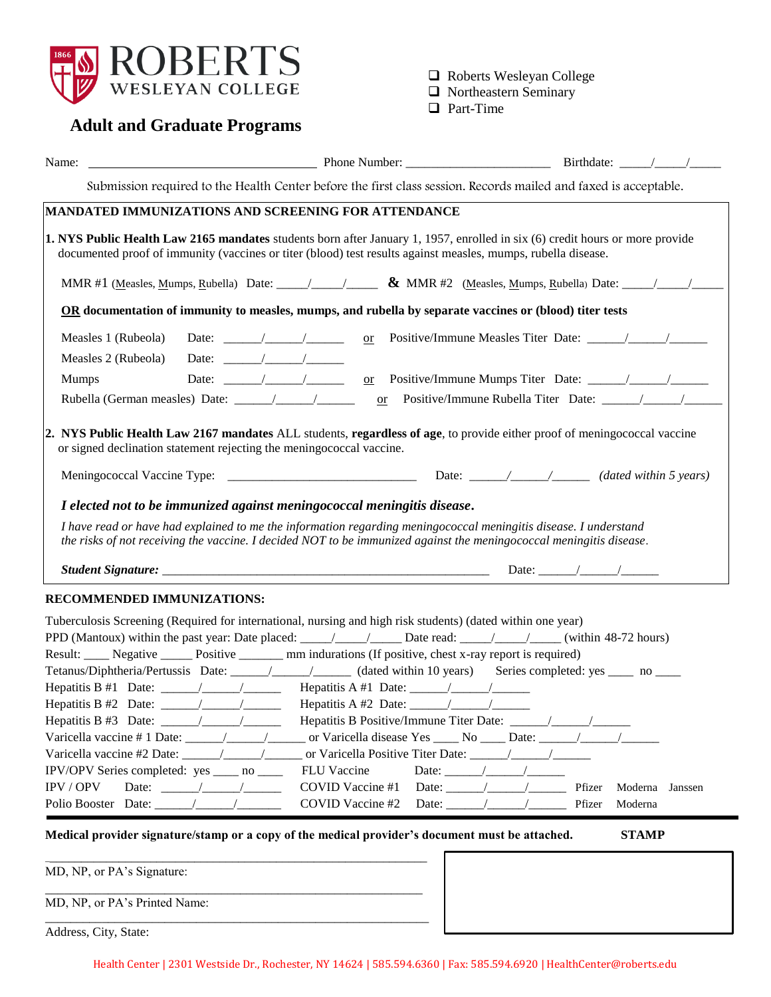

Roberts Wesleyan College

- Northeastern Seminary
- **Q** Part-Time

## **Adult and Graduate Programs**

| Name:                                                                                                                                                                                                                                                                                                                                               |                  | Phone Number: $\Box$ Birthdate: $\Box$                                                                           |
|-----------------------------------------------------------------------------------------------------------------------------------------------------------------------------------------------------------------------------------------------------------------------------------------------------------------------------------------------------|------------------|------------------------------------------------------------------------------------------------------------------|
|                                                                                                                                                                                                                                                                                                                                                     |                  | Submission required to the Health Center before the first class session. Records mailed and faxed is acceptable. |
| <b>MANDATED IMMUNIZATIONS AND SCREENING FOR ATTENDANCE</b>                                                                                                                                                                                                                                                                                          |                  |                                                                                                                  |
| 1. NYS Public Health Law 2165 mandates students born after January 1, 1957, enrolled in six (6) credit hours or more provide<br>documented proof of immunity (vaccines or titer (blood) test results against measles, mumps, rubella disease.                                                                                                       |                  |                                                                                                                  |
|                                                                                                                                                                                                                                                                                                                                                     |                  |                                                                                                                  |
| OR documentation of immunity to measles, mumps, and rubella by separate vaccines or (blood) titer tests                                                                                                                                                                                                                                             |                  |                                                                                                                  |
| Measles 1 (Rubeola)<br>Date: $\frac{1}{2}$ /<br>Measles 2 (Rubeola)<br>Date: $\frac{1}{\sqrt{1-\frac{1}{2}}}\left  \frac{1}{\sqrt{1-\frac{1}{2}}}\right $<br>Date: $\frac{1}{\sqrt{1-\frac{1}{2}}}\left  \frac{1}{\sqrt{1-\frac{1}{2}}}\right $<br><b>Mumps</b>                                                                                     |                  |                                                                                                                  |
| $\overline{\text{or}}$                                                                                                                                                                                                                                                                                                                              |                  |                                                                                                                  |
| 2. NYS Public Health Law 2167 mandates ALL students, regardless of age, to provide either proof of meningococcal vaccine<br>or signed declination statement rejecting the meningococcal vaccine.                                                                                                                                                    |                  |                                                                                                                  |
|                                                                                                                                                                                                                                                                                                                                                     |                  |                                                                                                                  |
| I elected not to be immunized against meningococcal meningitis disease.                                                                                                                                                                                                                                                                             |                  |                                                                                                                  |
| I have read or have had explained to me the information regarding meningococcal meningitis disease. I understand<br>the risks of not receiving the vaccine. I decided NOT to be immunized against the meningococcal meningitis disease.                                                                                                             |                  |                                                                                                                  |
|                                                                                                                                                                                                                                                                                                                                                     |                  |                                                                                                                  |
| RECOMMENDED IMMUNIZATIONS:                                                                                                                                                                                                                                                                                                                          |                  |                                                                                                                  |
| Tuberculosis Screening (Required for international, nursing and high risk students) (dated within one year)<br>Result: Negative Result: Negative Positive Result: Negative Positive, chest x-ray report is required)<br>Tetanus/Diphtheria/Pertussis Date: ________________________(dated within 10 years) Series completed: yes _______ no _______ |                  |                                                                                                                  |
|                                                                                                                                                                                                                                                                                                                                                     |                  |                                                                                                                  |
|                                                                                                                                                                                                                                                                                                                                                     |                  |                                                                                                                  |
|                                                                                                                                                                                                                                                                                                                                                     |                  |                                                                                                                  |
|                                                                                                                                                                                                                                                                                                                                                     |                  |                                                                                                                  |
| IPV/OPV Series completed: yes ____ no ____                                                                                                                                                                                                                                                                                                          | FLU Vaccine      | Date: $\frac{1}{\sqrt{1-\frac{1}{2}}}\left  \frac{1}{\sqrt{1-\frac{1}{2}}}\right $                               |
| IPV / OPV<br>Date: $\frac{1}{\sqrt{1-\frac{1}{2}}}\left  \frac{1}{\sqrt{1-\frac{1}{2}}}\right $                                                                                                                                                                                                                                                     | COVID Vaccine #1 | Date: $\frac{1}{\sqrt{1-\frac{1}{2}}}\left  \frac{1}{\sqrt{1-\frac{1}{2}}}\right $<br>Pfizer<br>Moderna Janssen  |
| Polio Booster Date: / /                                                                                                                                                                                                                                                                                                                             | COVID Vaccine #2 | Date: $\frac{1}{\sqrt{1-\frac{1}{2}}}\left  \frac{1}{\sqrt{1-\frac{1}{2}}}\right $<br>Pfizer<br>Moderna          |
| Medical provider signature/stamp or a copy of the medical provider's document must be attached.                                                                                                                                                                                                                                                     |                  | <b>STAMP</b>                                                                                                     |
| MD, NP, or PA's Signature:                                                                                                                                                                                                                                                                                                                          |                  |                                                                                                                  |
|                                                                                                                                                                                                                                                                                                                                                     |                  |                                                                                                                  |

MD, NP, or PA's Printed Name:

\_\_\_\_\_\_\_\_\_\_\_\_\_\_\_\_\_\_\_\_\_\_\_\_\_\_\_\_\_\_\_\_\_\_\_\_\_\_\_\_\_\_\_\_\_\_\_\_\_\_\_\_\_\_\_\_\_\_\_\_\_

Address, City, State: